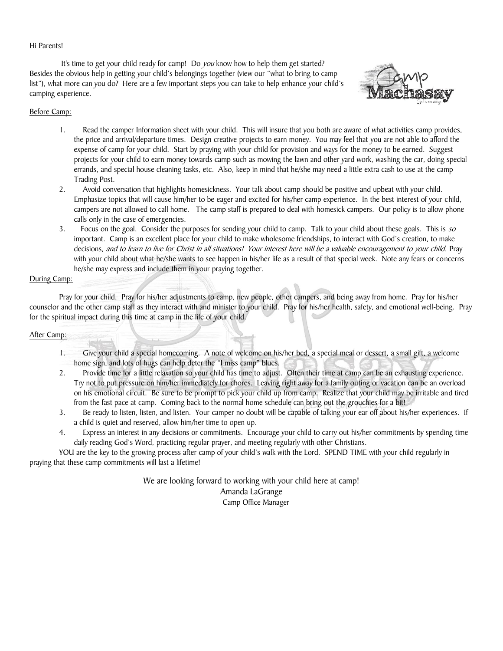## Hi Parents!

It's time to get your child ready for camp! Do you know how to help them get started? Besides the obvious help in getting your child's belongings together (view our "what to bring to camp list"), what more can you do? Here are a few important steps you can take to help enhance your child's camping experience.



## Before Camp:

- 1. Read the camper Information sheet with your child. This will insure that you both are aware of what activities camp provides, the price and arrival/departure times. Design creative projects to earn money. You may feel that you are not able to afford the expense of camp for your child. Start by praying with your child for provision and ways for the money to be earned. Suggest projects for your child to earn money towards camp such as mowing the lawn and other yard work, washing the car, doing special errands, and special house cleaning tasks, etc. Also, keep in mind that he/she may need a little extra cash to use at the camp Trading Post.
- 2. Avoid conversation that highlights homesickness. Your talk about camp should be positive and upbeat with your child. Emphasize topics that will cause him/her to be eager and excited for his/her camp experience. In the best interest of your child, campers are not allowed to call home. The camp staff is prepared to deal with homesick campers. Our policy is to allow phone calls only in the case of emergencies.
- 3. Focus on the goal. Consider the purposes for sending your child to camp. Talk to your child about these goals. This is so important. Camp is an excellent place for your child to make wholesome friendships, to interact with God's creation, to make decisions, and to learn to live for Christ in all situations! Your interest here will be a valuable encouragement to your child. Pray with your child about what he/she wants to see happen in his/her life as a result of that special week. Note any fears or concerns he/she may express and include them in your praying together.

## During Camp:

Pray for your child. Pray for his/her adjustments to camp, new people, other campers, and being away from home. Pray for his/her counselor and the other camp staff as they interact with and minister to your child. Pray for his/her health, safety, and emotional well-being. Pray for the spiritual impact during this time at camp in the life of your child.

## After Camp:

- 1. Give your child a special homecoming. A note of welcome on his/her bed, a special meal or dessert, a small gift, a welcome home sign, and lots of hugs can help deter the "I miss camp" blues.
- 2. Provide time for a little relaxation so your child has time to adjust. Often their time at camp can be an exhausting experience. Try not to put pressure on him/her immediately for chores. Leaving right away for a family outing or vacation can be an overload on his emotional circuit. Be sure to be prompt to pick your child up from camp. Realize that your child may be irritable and tired from the fast pace at camp. Coming back to the normal home schedule can bring out the grouchies for a bit!
- 3. Be ready to listen, listen, and listen. Your camper no doubt will be capable of talking your ear off about his/her experiences. If a child is quiet and reserved, allow him/her time to open up.
- 4. Express an interest in any decisions or commitments. Encourage your child to carry out his/her commitments by spending time daily reading God's Word, practicing regular prayer, and meeting regularly with other Christians.

YOU are the key to the growing process after camp of your child's walk with the Lord. SPEND TIME with your child regularly in praying that these camp commitments will last a lifetime!

> We are looking forward to working with your child here at camp! Amanda LaGrange Camp Office Manager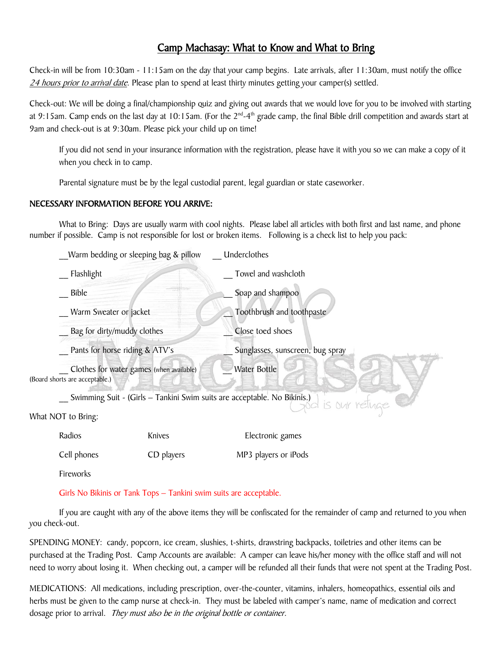# Camp Machasay: What to Know and What to Bring

Check-in will be from 10:30am - 11:15am on the day that your camp begins. Late arrivals, after 11:30am, must notify the office 24 hours prior to arrival date. Please plan to spend at least thirty minutes getting your camper(s) settled.

Check-out: We will be doing a final/championship quiz and giving out awards that we would love for you to be involved with starting at 9:15am. Camp ends on the last day at 10:15am. (For the 2<sup>nd</sup>-4<sup>th</sup> grade camp, the final Bible drill competition and awards start at 9am and check-out is at 9:30am. Please pick your child up on time!

If you did not send in your insurance information with the registration, please have it with you so we can make a copy of it when you check in to camp.

Parental signature must be by the legal custodial parent, legal guardian or state caseworker.

## NECESSARY INFORMATION BEFORE YOU ARRIVE:

What to Bring: Days are usually warm with cool nights. Please label all articles with both first and last name, and phone number if possible. Camp is not responsible for lost or broken items. Following is a check list to help you pack:

|                    | Warm bedding or sleeping bag & pillow<br>Flashlight<br><b>Bible</b><br>Warm Sweater or jacket<br>Bag for dirty/muddy clothes<br>Pants for horse riding & ATV's |            | Underclothes                     |
|--------------------|----------------------------------------------------------------------------------------------------------------------------------------------------------------|------------|----------------------------------|
|                    |                                                                                                                                                                |            | Towel and washcloth              |
|                    |                                                                                                                                                                |            | Soap and shampoo                 |
|                    |                                                                                                                                                                |            | Toothbrush and toothpaste        |
|                    |                                                                                                                                                                |            | Close toed shoes                 |
|                    |                                                                                                                                                                |            | Sunglasses, sunscreen, bug spray |
|                    | Clothes for water games (when available)<br>(Board shorts are acceptable.)                                                                                     |            | Water Bottle                     |
|                    | Swimming Suit - (Girls - Tankini Swim suits are acceptable. No Bikinis.)<br>is our retuge                                                                      |            |                                  |
| What NOT to Bring: |                                                                                                                                                                |            |                                  |
|                    | Radios                                                                                                                                                         | Knives     | Electronic games                 |
|                    | Cell phones                                                                                                                                                    | CD players | MP3 players or iPods             |
|                    | Fireworks                                                                                                                                                      |            |                                  |
|                    |                                                                                                                                                                |            |                                  |

Girls No Bikinis or Tank Tops – Tankini swim suits are acceptable.

If you are caught with any of the above items they will be confiscated for the remainder of camp and returned to you when you check-out.

SPENDING MONEY: candy, popcorn, ice cream, slushies, t-shirts, drawstring backpacks, toiletries and other items can be purchased at the Trading Post. Camp Accounts are available: A camper can leave his/her money with the office staff and will not need to worry about losing it. When checking out, a camper will be refunded all their funds that were not spent at the Trading Post.

MEDICATIONS: All medications, including prescription, over-the-counter, vitamins, inhalers, homeopathics, essential oils and herbs must be given to the camp nurse at check-in. They must be labeled with camper's name, name of medication and correct dosage prior to arrival. They must also be in the original bottle or container.